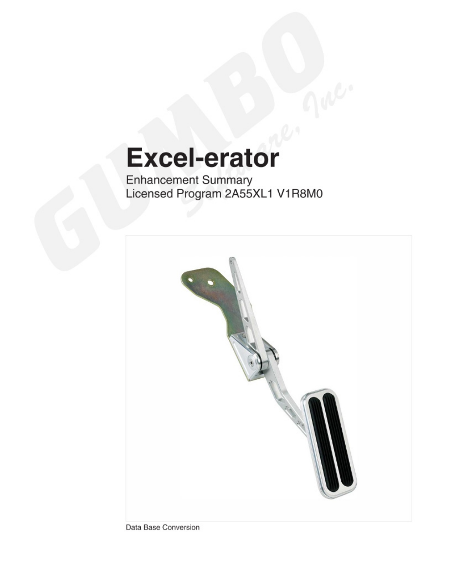# **Excel-erator**

**Enhancement Summary** Licensed Program 2A55XL1 V1R8M0



Data Base Conversion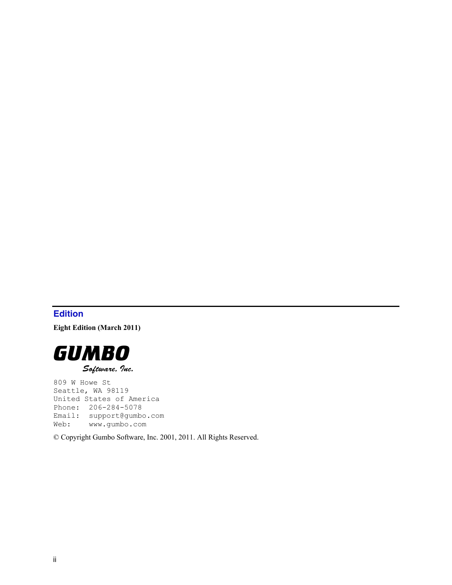# <span id="page-1-0"></span>**Edition**

**Eight Edition (March 2011)** 



809 W Howe St Seattle, WA 98119 United States of America Phone: 206-284-5078 Email: support@gumbo.com Web: www.gumbo.com

© Copyright Gumbo Software, Inc. 2001, 2011. All Rights Reserved.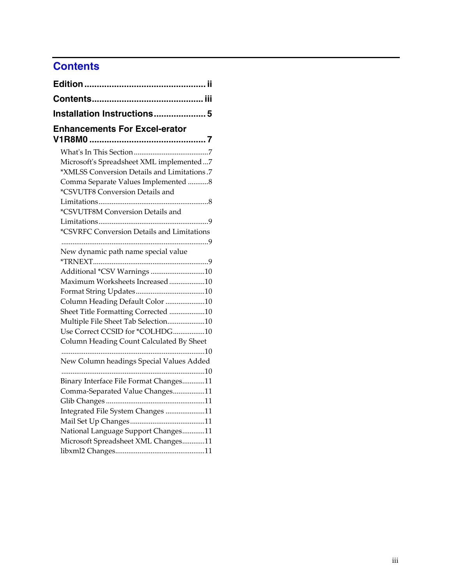# <span id="page-2-0"></span>**Contents**

| Installation Instructions 5                                            |  |
|------------------------------------------------------------------------|--|
| <b>Enhancements For Excel-erator</b>                                   |  |
|                                                                        |  |
| Microsoft's Spreadsheet XML implemented7                               |  |
| *XMLSS Conversion Details and Limitations.7                            |  |
| Comma Separate Values Implemented 8<br>*CSVUTF8 Conversion Details and |  |
|                                                                        |  |
| *CSVUTF8M Conversion Details and                                       |  |
|                                                                        |  |
| *CSVRFC Conversion Details and Limitations                             |  |
|                                                                        |  |
| New dynamic path name special value                                    |  |
|                                                                        |  |
| Additional *CSV Warnings 10                                            |  |
| Maximum Worksheets Increased10                                         |  |
|                                                                        |  |
| Column Heading Default Color 10                                        |  |
| Sheet Title Formatting Corrected 10                                    |  |
| Multiple File Sheet Tab Selection10                                    |  |
| Use Correct CCSID for *COLHDG10                                        |  |
| Column Heading Count Calculated By Sheet                               |  |
|                                                                        |  |
| New Column headings Special Values Added                               |  |
| Binary Interface File Format Changes11                                 |  |
| Comma-Separated Value Changes11                                        |  |
|                                                                        |  |
| Integrated File System Changes 11                                      |  |
|                                                                        |  |
| National Language Support Changes11                                    |  |
| Microsoft Spreadsheet XML Changes11                                    |  |
|                                                                        |  |
|                                                                        |  |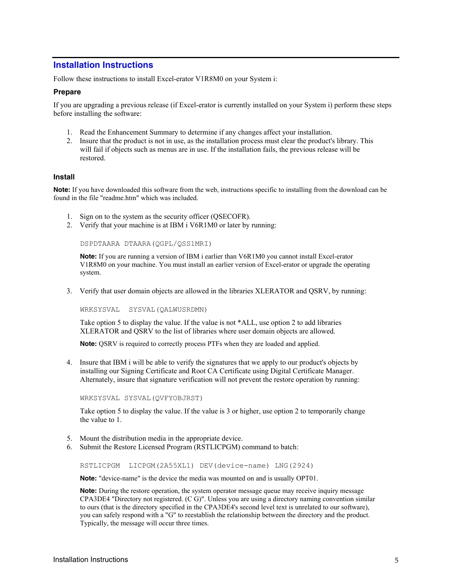# <span id="page-4-0"></span>**Installation Instructions**

Follow these instructions to install Excel-erator V1R8M0 on your System i:

#### **Prepare**

If you are upgrading a previous release (if Excel-erator is currently installed on your System i) perform these steps before installing the software:

- 1. Read the Enhancement Summary to determine if any changes affect your installation.
- 2. Insure that the product is not in use, as the installation process must clear the product's library. This will fail if objects such as menus are in use. If the installation fails, the previous release will be restored.

#### **Install**

**Note:** If you have downloaded this software from the web, instructions specific to installing from the download can be found in the file "readme.htm" which was included.

- 1. Sign on to the system as the security officer (QSECOFR).
- 2. Verify that your machine is at IBM i V6R1M0 or later by running:

DSPDTAARA DTAARA(QGPL/QSS1MRI)

**Note:** If you are running a version of IBM i earlier than V6R1M0 you cannot install Excel-erator V1R8M0 on your machine. You must install an earlier version of Excel-erator or upgrade the operating system.

3. Verify that user domain objects are allowed in the libraries XLERATOR and QSRV, by running:

WRKSYSVAL SYSVAL(QALWUSRDMN)

Take option 5 to display the value. If the value is not \*ALL, use option 2 to add libraries XLERATOR and QSRV to the list of libraries where user domain objects are allowed.

**Note:** QSRV is required to correctly process PTFs when they are loaded and applied.

4. Insure that IBM i will be able to verify the signatures that we apply to our product's objects by installing our Signing Certificate and Root CA Certificate using Digital Certificate Manager. Alternately, insure that signature verification will not prevent the restore operation by running:

WRKSYSVAL SYSVAL(QVFYOBJRST)

Take option 5 to display the value. If the value is 3 or higher, use option 2 to temporarily change the value to 1.

- 5. Mount the distribution media in the appropriate device.
- 6. Submit the Restore Licensed Program (RSTLICPGM) command to batch:

RSTLICPGM LICPGM(2A55XL1) DEV(device-name) LNG(2924)

**Note:** "device-name" is the device the media was mounted on and is usually OPT01.

**Note:** During the restore operation, the system operator message queue may receive inquiry message CPA3DE4 "Directory not registered. (C G)". Unless you are using a directory naming convention similar to ours (that is the directory specified in the CPA3DE4's second level text is unrelated to our software), you can safely respond with a "G" to reestablish the relationship between the directory and the product. Typically, the message will occur three times.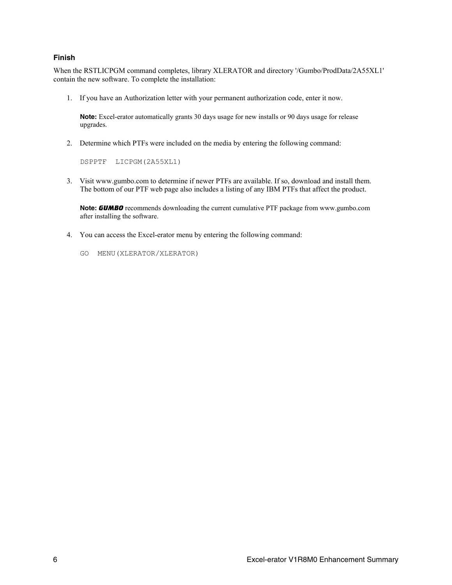#### **Finish**

When the RSTLICPGM command completes, library XLERATOR and directory '/Gumbo/ProdData/2A55XL1' contain the new software. To complete the installation:

1. If you have an Authorization letter with your permanent authorization code, enter it now.

**Note:** Excel-erator automatically grants 30 days usage for new installs or 90 days usage for release upgrades.

2. Determine which PTFs were included on the media by entering the following command:

DSPPTF LICPGM(2A55XL1)

3. Visit www.gumbo.com to determine if newer PTFs are available. If so, download and install them. The bottom of our PTF web page also includes a listing of any IBM PTFs that affect the product.

**Note:** *GUMBO* recommends downloading the current cumulative PTF package from www.gumbo.com after installing the software.

- 4. You can access the Excel-erator menu by entering the following command:
	- GO MENU(XLERATOR/XLERATOR)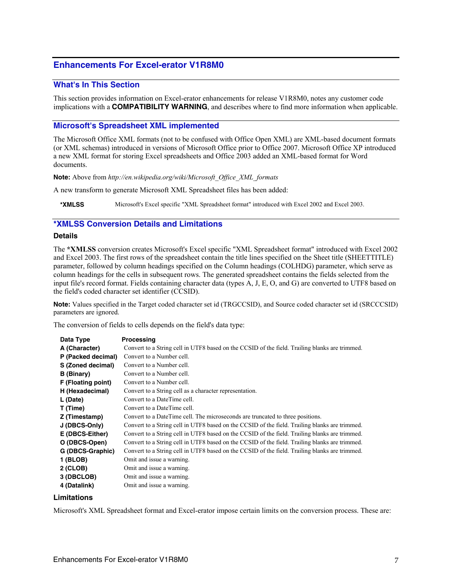# <span id="page-6-0"></span>**Enhancements For Excel-erator V1R8M0**

#### <span id="page-6-1"></span>**What's In This Section**

This section provides information on Excel-erator enhancements for release V1R8M0, notes any customer code implications with a **COMPATIBILITY WARNING**, and describes where to find more information when applicable.

#### <span id="page-6-2"></span>**Microsoft's Spreadsheet XML implemented**

The Microsoft Office XML formats (not to be confused with Office Open XML) are XML-based document formats (or XML schemas) introduced in versions of Microsoft Office prior to Office 2007. Microsoft Office XP introduced a new XML format for storing Excel spreadsheets and Office 2003 added an XML-based format for Word documents.

**Note:** Above from *http://en.wikipedia.org/wiki/Microsoft\_Office\_XML\_formats* 

A new transform to generate Microsoft XML Spreadsheet files has been added:

**\*XMLSS** Microsoft's Excel specific "XML Spreadsheet format" introduced with Excel 2002 and Excel 2003.

#### <span id="page-6-3"></span>**\*XMLSS Conversion Details and Limitations**

#### **Details**

The **\*XMLSS** conversion creates Microsoft's Excel specific "XML Spreadsheet format" introduced with Excel 2002 and Excel 2003. The first rows of the spreadsheet contain the title lines specified on the Sheet title (SHEETTITLE) parameter, followed by column headings specified on the Column headings (COLHDG) parameter, which serve as column headings for the cells in subsequent rows. The generated spreadsheet contains the fields selected from the input file's record format. Fields containing character data (types A, J, E, O, and G) are converted to UTF8 based on the field's coded character set identifier (CCSID).

**Note:** Values specified in the Target coded character set id (TRGCCSID), and Source coded character set id (SRCCCSID) parameters are ignored.

The conversion of fields to cells depends on the field's data type:

| Data Type          | Processing                                                                                     |
|--------------------|------------------------------------------------------------------------------------------------|
| A (Character)      | Convert to a String cell in UTF8 based on the CCSID of the field. Trailing blanks are trimmed. |
| P (Packed decimal) | Convert to a Number cell.                                                                      |
| S (Zoned decimal)  | Convert to a Number cell.                                                                      |
| <b>B</b> (Binary)  | Convert to a Number cell.                                                                      |
| F (Floating point) | Convert to a Number cell.                                                                      |
| H (Hexadecimal)    | Convert to a String cell as a character representation.                                        |
| L (Date)           | Convert to a DateTime cell.                                                                    |
| T (Time)           | Convert to a DateTime cell.                                                                    |
| Z (Timestamp)      | Convert to a DateTime cell. The microseconds are truncated to three positions.                 |
| J (DBCS-Only)      | Convert to a String cell in UTF8 based on the CCSID of the field. Trailing blanks are trimmed. |
| E (DBCS-Either)    | Convert to a String cell in UTF8 based on the CCSID of the field. Trailing blanks are trimmed. |
| O (DBCS-Open)      | Convert to a String cell in UTF8 based on the CCSID of the field. Trailing blanks are trimmed. |
| G (DBCS-Graphic)   | Convert to a String cell in UTF8 based on the CCSID of the field. Trailing blanks are trimmed. |
| 1 (BLOB)           | Omit and issue a warning.                                                                      |
| $2$ (CLOB)         | Omit and issue a warning.                                                                      |
| 3 (DBCLOB)         | Omit and issue a warning.                                                                      |
| 4 (Datalink)       | Omit and issue a warning.                                                                      |

#### **Limitations**

Microsoft's XML Spreadsheet format and Excel-erator impose certain limits on the conversion process. These are: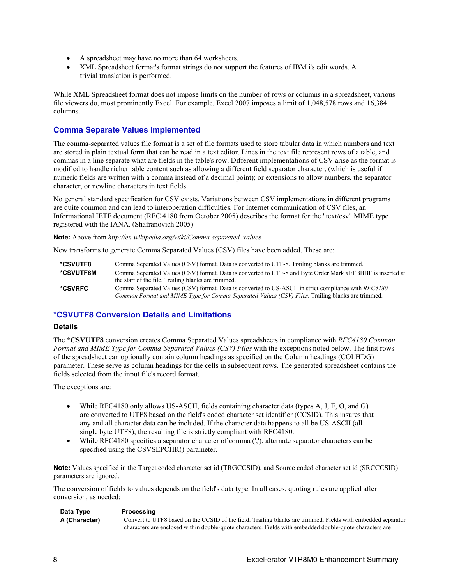- A spreadsheet may have no more than 64 worksheets.
- XML Spreadsheet format's format strings do not support the features of IBM i's edit words. A trivial translation is performed.

While XML Spreadsheet format does not impose limits on the number of rows or columns in a spreadsheet, various file viewers do, most prominently Excel. For example, Excel 2007 imposes a limit of 1,048,578 rows and 16,384 columns.

#### <span id="page-7-0"></span>**Comma Separate Values Implemented**

The comma-separated values file format is a set of file formats used to store tabular data in which numbers and text are stored in plain textual form that can be read in a text editor. Lines in the text file represent rows of a table, and commas in a line separate what are fields in the table's row. Different implementations of CSV arise as the format is modified to handle richer table content such as allowing a different field separator character, (which is useful if numeric fields are written with a comma instead of a decimal point); or extensions to allow numbers, the separator character, or newline characters in text fields.

No general standard specification for CSV exists. Variations between CSV implementations in different programs are quite common and can lead to interoperation difficulties. For Internet communication of CSV files, an Informational IETF document (RFC 4180 from October 2005) describes the format for the "text/csv" MIME type registered with the IANA. (Shafranovich 2005)

**Note:** Above from *http://en.wikipedia.org/wiki/Comma-separated\_values*

New transforms to generate Comma Separated Values (CSV) files have been added. These are:

| *CSVUTF8  | Comma Separated Values (CSV) format. Data is converted to UTF-8. Trailing blanks are trimmed.              |
|-----------|------------------------------------------------------------------------------------------------------------|
| *CSVUTF8M | Comma Separated Values (CSV) format. Data is converted to UTF-8 and Byte Order Mark xEFBBBF is inserted at |
|           | the start of the file. Trailing blanks are trimmed.                                                        |
| *CSVRFC   | Comma Separated Values (CSV) format. Data is converted to US-ASCII in strict compliance with RFC4180       |
|           | Common Format and MIME Type for Comma-Separated Values (CSV) Files. Trailing blanks are trimmed.           |

# <span id="page-7-1"></span>**\*CSVUTF8 Conversion Details and Limitations**

#### **Details**

The **\*CSVUTF8** conversion creates Comma Separated Values spreadsheets in compliance with *RFC4180 Common Format and MIME Type for Comma-Separated Values (CSV) Files* with the exceptions noted below. The first rows of the spreadsheet can optionally contain column headings as specified on the Column headings (COLHDG) parameter. These serve as column headings for the cells in subsequent rows. The generated spreadsheet contains the fields selected from the input file's record format.

The exceptions are:

- While RFC4180 only allows US-ASCII, fields containing character data (types A, J, E, O, and G) are converted to UTF8 based on the field's coded character set identifier (CCSID). This insures that any and all character data can be included. If the character data happens to all be US-ASCII (all single byte UTF8), the resulting file is strictly compliant with RFC4180.
- While RFC4180 specifies a separator character of comma (','), alternate separator characters can be specified using the CSVSEPCHR() parameter.

**Note:** Values specified in the Target coded character set id (TRGCCSID), and Source coded character set id (SRCCCSID) parameters are ignored.

The conversion of fields to values depends on the field's data type. In all cases, quoting rules are applied after conversion, as needed:

| Data Type     | Processing                                                                                                   |
|---------------|--------------------------------------------------------------------------------------------------------------|
| A (Character) | Convert to UTF8 based on the CCSID of the field. Trailing blanks are trimmed. Fields with embedded separator |
|               | characters are enclosed within double-quote characters. Fields with embedded double-quote characters are     |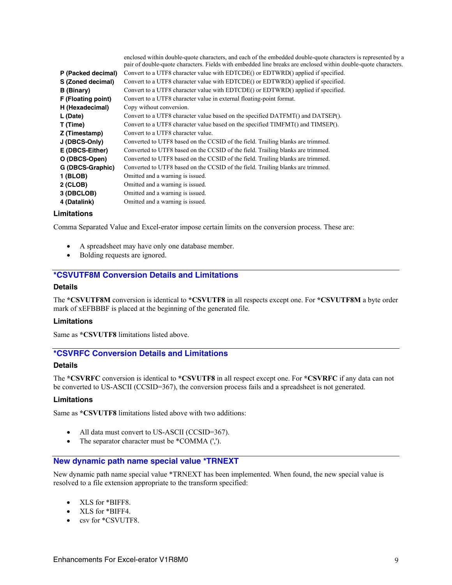|                    | enclosed within double-quote characters, and each of the embedded double-quote characters is represented by a  |
|--------------------|----------------------------------------------------------------------------------------------------------------|
|                    | pair of double-quote characters. Fields with embedded line breaks are enclosed within double-quote characters. |
| P (Packed decimal) | Convert to a UTF8 character value with EDTCDE() or EDTWRD() applied if specified.                              |
| S (Zoned decimal)  | Convert to a UTF8 character value with EDTCDE() or EDTWRD() applied if specified.                              |
| <b>B</b> (Binary)  | Convert to a UTF8 character value with EDTCDE() or EDTWRD() applied if specified.                              |
| F (Floating point) | Convert to a UTF8 character value in external floating-point format.                                           |
| H (Hexadecimal)    | Copy without conversion.                                                                                       |
| L (Date)           | Convert to a UTF8 character value based on the specified DATFMT() and DATSEP().                                |
| T (Time)           | Convert to a UTF8 character value based on the specified TIMFMT() and TIMSEP().                                |
| Z (Timestamp)      | Convert to a UTF8 character value.                                                                             |
| J (DBCS-Only)      | Converted to UTF8 based on the CCSID of the field. Trailing blanks are trimmed.                                |
| E (DBCS-Either)    | Converted to UTF8 based on the CCSID of the field. Trailing blanks are trimmed.                                |
| O (DBCS-Open)      | Converted to UTF8 based on the CCSID of the field. Trailing blanks are trimmed.                                |
| G (DBCS-Graphic)   | Converted to UTF8 based on the CCSID of the field. Trailing blanks are trimmed.                                |
| 1 (BLOB)           | Omitted and a warning is issued.                                                                               |
| $2$ (CLOB)         | Omitted and a warning is issued.                                                                               |
| 3 (DBCLOB)         | Omitted and a warning is issued.                                                                               |
| 4 (Datalink)       | Omitted and a warning is issued.                                                                               |

#### **Limitations**

Comma Separated Value and Excel-erator impose certain limits on the conversion process. These are:

- A spreadsheet may have only one database member.
- Bolding requests are ignored.

# <span id="page-8-0"></span>**\*CSVUTF8M Conversion Details and Limitations**

#### **Details**

The **\*CSVUTF8M** conversion is identical to **\*CSVUTF8** in all respects except one. For **\*CSVUTF8M** a byte order mark of xEFBBBF is placed at the beginning of the generated file.

#### **Limitations**

Same as **\*CSVUTF8** limitations listed above.

# <span id="page-8-1"></span>**\*CSVRFC Conversion Details and Limitations**

#### **Details**

The **\*CSVRFC** conversion is identical to **\*CSVUTF8** in all respect except one. For **\*CSVRFC** if any data can not be converted to US-ASCII (CCSID=367), the conversion process fails and a spreadsheet is not generated.

#### **Limitations**

Same as **\*CSVUTF8** limitations listed above with two additions:

- All data must convert to US-ASCII (CCSID=367).
- The separator character must be \*COMMA (',').

#### <span id="page-8-2"></span>**New dynamic path name special value \*TRNEXT**

New dynamic path name special value \*TRNEXT has been implemented. When found, the new special value is resolved to a file extension appropriate to the transform specified:

- XLS for \*BIFF8.
- XLS for \*BIFF4.
- csv for \*CSVUTF8.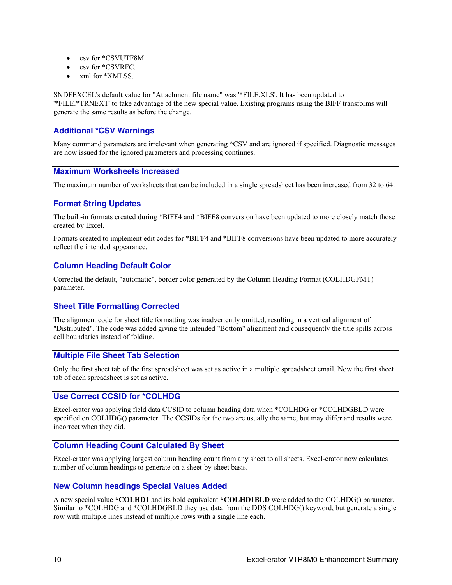- csv for \*CSVUTF8M.
- csv for \*CSVRFC.
- xml for \*XMLSS.

SNDFEXCEL's default value for "Attachment file name" was '\*FILE.XLS'. It has been updated to '\*FILE.\*TRNEXT' to take advantage of the new special value. Existing programs using the BIFF transforms will generate the same results as before the change.

# <span id="page-9-0"></span>**Additional \*CSV Warnings**

Many command parameters are irrelevant when generating \*CSV and are ignored if specified. Diagnostic messages are now issued for the ignored parameters and processing continues.

# <span id="page-9-1"></span>**Maximum Worksheets Increased**

The maximum number of worksheets that can be included in a single spreadsheet has been increased from 32 to 64.

#### <span id="page-9-2"></span>**Format String Updates**

The built-in formats created during \*BIFF4 and \*BIFF8 conversion have been updated to more closely match those created by Excel.

Formats created to implement edit codes for \*BIFF4 and \*BIFF8 conversions have been updated to more accurately reflect the intended appearance.

#### <span id="page-9-3"></span>**Column Heading Default Color**

Corrected the default, "automatic", border color generated by the Column Heading Format (COLHDGFMT) parameter.

# <span id="page-9-4"></span>**Sheet Title Formatting Corrected**

The alignment code for sheet title formatting was inadvertently omitted, resulting in a vertical alignment of "Distributed". The code was added giving the intended "Bottom" alignment and consequently the title spills across cell boundaries instead of folding.

# <span id="page-9-5"></span>**Multiple File Sheet Tab Selection**

Only the first sheet tab of the first spreadsheet was set as active in a multiple spreadsheet email. Now the first sheet tab of each spreadsheet is set as active.

# <span id="page-9-6"></span>**Use Correct CCSID for \*COLHDG**

Excel-erator was applying field data CCSID to column heading data when \*COLHDG or \*COLHDGBLD were specified on COLHDG() parameter. The CCSIDs for the two are usually the same, but may differ and results were incorrect when they did.

# <span id="page-9-7"></span>**Column Heading Count Calculated By Sheet**

Excel-erator was applying largest column heading count from any sheet to all sheets. Excel-erator now calculates number of column headings to generate on a sheet-by-sheet basis.

#### <span id="page-9-8"></span>**New Column headings Special Values Added**

A new special value **\*COLHD1** and its bold equivalent **\*COLHD1BLD** were added to the COLHDG() parameter. Similar to \*COLHDG and \*COLHDGBLD they use data from the DDS COLHDG() keyword, but generate a single row with multiple lines instead of multiple rows with a single line each.